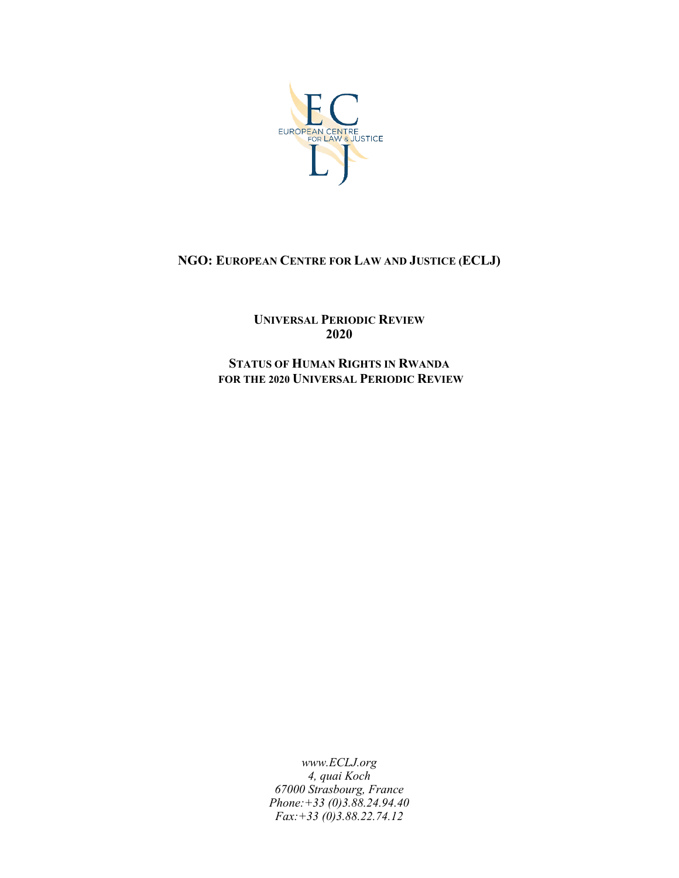

## **NGO: EUROPEAN CENTRE FOR LAW AND JUSTICE (ECLJ)**

**UNIVERSAL PERIODIC REVIEW 2020**

**STATUS OF HUMAN RIGHTS IN RWANDA FOR THE 2020 UNIVERSAL PERIODIC REVIEW**

> *www.ECLJ.org 4, quai Koch 67000 Strasbourg, France Phone:+33 (0)3.88.24.94.40 Fax:+33 (0)3.88.22.74.12*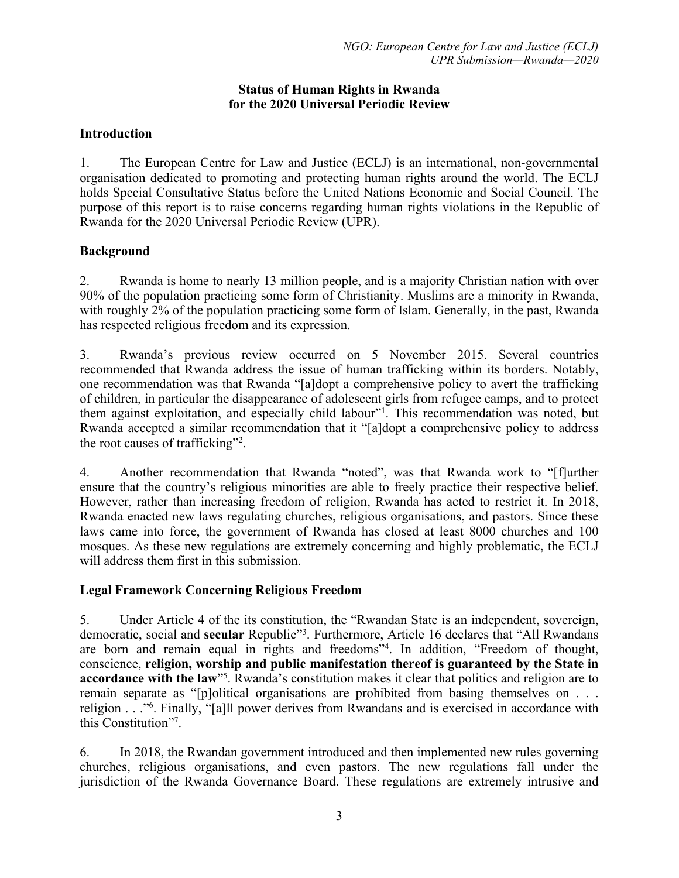#### **Status of Human Rights in Rwanda for the 2020 Universal Periodic Review**

#### **Introduction**

1. The European Centre for Law and Justice (ECLJ) is an international, non-governmental organisation dedicated to promoting and protecting human rights around the world. The ECLJ holds Special Consultative Status before the United Nations Economic and Social Council. The purpose of this repor<sup>t</sup> is to raise concerns regarding human rights violations in the Republic of Rwanda for the 2020 Universal Periodic Review (UPR).

### **Background**

2. Rwanda is home to nearly 13 million people, and is <sup>a</sup> majority Christian nation with over 90% of the population practicing some form of Christianity. Muslims are <sup>a</sup> minority in Rwanda, with roughly 2% of the population practicing some form of Islam. Generally, in the past, Rwanda has respected religious freedom and its expression.

3. Rwanda'<sup>s</sup> previous review occurred on 5 November 2015. Several countries recommended that Rwanda address the issue of human trafficking within its borders. Notably, one recommendation was that Rwanda "[a]dopt <sup>a</sup> comprehensive policy to avert the trafficking of children, in particular the disappearance of adolescent girls from refugee camps, and to protect them against exploitation, and especially child labour"<sup>1</sup>. This recommendation was noted, but Rwanda accepted <sup>a</sup> similar recommendation that it "[a]dopt <sup>a</sup> comprehensive policy to address the root causes of trafficking"<sup>2</sup>.

4. Another recommendation that Rwanda "noted", was that Rwanda work to "[f]urther ensure that the country'<sup>s</sup> religious minorities are able to freely practice their respective belief. However, rather than increasing freedom of religion, Rwanda has acted to restrict it. In 2018, Rwanda enacted new laws regulating churches, religious organisations, and pastors. Since these laws came into force, the governmen<sup>t</sup> of Rwanda has closed at least 8000 churches and 100 mosques. As these new regulations are extremely concerning and highly problematic, the ECLJ will address them first in this submission.

## **Legal Framework Concerning Religious Freedom**

5. Under Article 4 of the its constitution, the "Rwandan State is an independent, sovereign, democratic, social and **secular** Republic"<sup>3</sup>. Furthermore, Article 16 declares that "All Rwandans are born and remain equal in rights and freedoms"<sup>4</sup> . In addition, "Freedom of thought, conscience, **religion, worship and public manifestation thereof is guaranteed by the State in accordance with the law**"<sup>5</sup> . Rwanda'<sup>s</sup> constitution makes it clear that politics and religion are to remain separate as "[p]olitical organisations are prohibited from basing themselves on . . . religion . . ."<sup>6</sup> . Finally, "[a]ll power derives from Rwandans and is exercised in accordance with this Constitution"<sup>7</sup> .

6. In 2018, the Rwandan governmen<sup>t</sup> introduced and then implemented new rules governing churches, religious organisations, and even pastors. The new regulations fall under the jurisdiction of the Rwanda Governance Board. These regulations are extremely intrusive and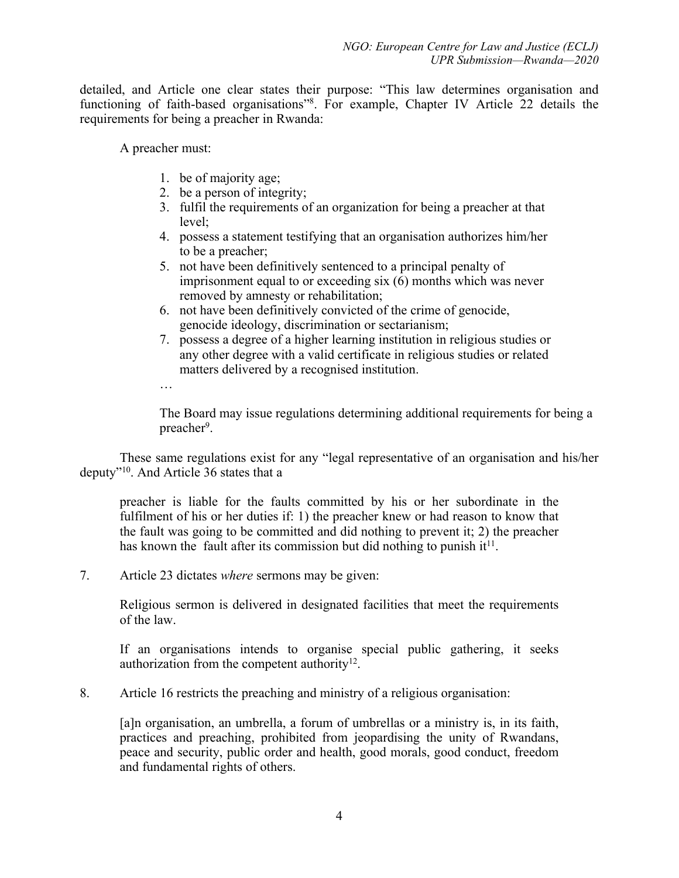detailed, and Article one clear states their purpose: "This law determines organisation and functioning of faith-based organisations"<sup>8</sup> . For example, Chapter IV Article 22 details the requirements for being <sup>a</sup> preacher in Rwanda:

A preacher must:

- 1. be of majority age;
- 2. be <sup>a</sup> person of integrity;
- 3. fulfil the requirements of an organization for being <sup>a</sup> preacher at that level;
- 4. possess <sup>a</sup> statement testifying that an organisation authorizes him/her to be <sup>a</sup> preacher;
- 5. not have been definitively sentenced to <sup>a</sup> principal penalty of imprisonment equal to or exceeding six  $(6)$  months which was never removed by amnesty or rehabilitation;
- 6. not have been definitively convicted of the crime of genocide, genocide ideology, discrimination or sectarianism;
- 7. possess <sup>a</sup> degree of <sup>a</sup> higher learning institution in religious studies or any other degree with <sup>a</sup> valid certificate in religious studies or related matters delivered by <sup>a</sup> recognised institution.
- …

The Board may issue regulations determining additional requirements for being <sup>a</sup> preacher<sup>9</sup>.

These same regulations exist for any "legal representative of an organisation and his/her deputy"<sup>10</sup> . And Article 36 states that <sup>a</sup>

preacher is liable for the faults committed by his or her subordinate in the fulfilment of his or her duties if: 1) the preacher knew or had reason to know that the fault was going to be committed and did nothing to preven<sup>t</sup> it; 2) the preacher has known the fault after its commission but did nothing to punish it<sup>11</sup>.

7. Article 23 dictates *where* sermons may be given:

Religious sermon is delivered in designated facilities that meet the requirements of the law.

If an organisations intends to organise special public gathering, it seeks authorization from the competent authority $^{12}$ .

8. Article 16 restricts the preaching and ministry of <sup>a</sup> religious organisation:

[a]n organisation, an umbrella, <sup>a</sup> forum of umbrellas or <sup>a</sup> ministry is, in its faith, practices and preaching, prohibited from jeopardising the unity of Rwandans, peace and security, public order and health, good morals, good conduct, freedom and fundamental rights of others.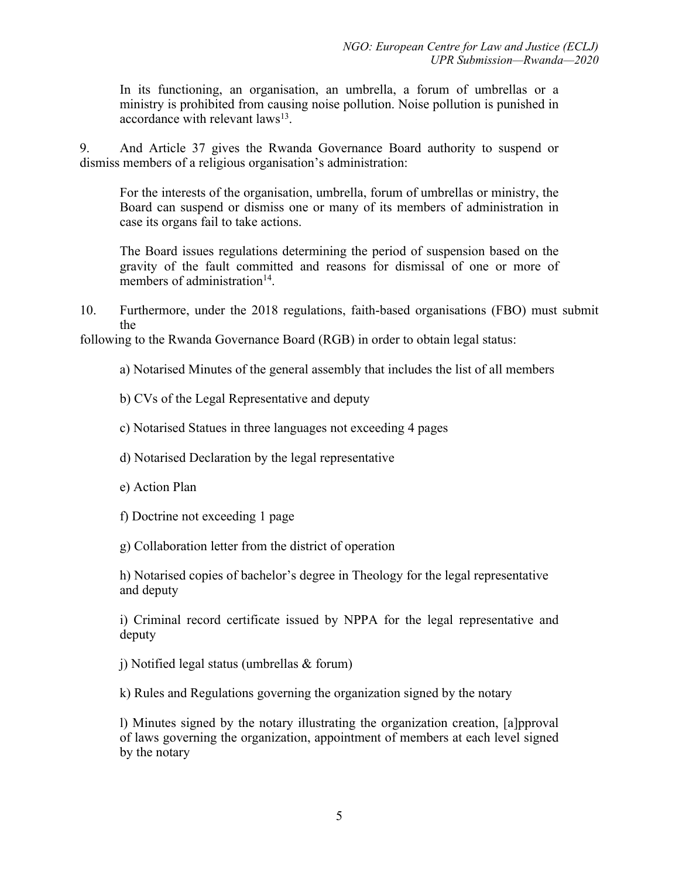In its functioning, an organisation, an umbrella, <sup>a</sup> forum of umbrellas or <sup>a</sup> ministry is prohibited from causing noise pollution. Noise pollution is punished in accordance with relevant laws<sup>13</sup>.

9. And Article 37 gives the Rwanda Governance Board authority to suspend or dismiss members of <sup>a</sup> religious organisation'<sup>s</sup> administration:

For the interests of the organisation, umbrella, forum of umbrellas or ministry, the Board can suspend or dismiss one or many of its members of administration in case its organs fail to take actions.

The Board issues regulations determining the period of suspension based on the gravity of the fault committed and reasons for dismissal of one or more of members of administration<sup>14</sup>.

10. Furthermore, under the 2018 regulations, faith-based organisations (FBO) must submit the

following to the Rwanda Governance Board (RGB) in order to obtain legal status:

a) Notarised Minutes of the general assembly that includes the list of all members

b) CVs of the Legal Representative and deputy

c) Notarised Statues in three languages not exceeding 4 pages

d) Notarised Declaration by the legal representative

e) Action Plan

f) Doctrine not exceeding 1 page

g) Collaboration letter from the district of operation

h) Notarised copies of bachelor'<sup>s</sup> degree in Theology for the legal representative and deputy

i) Criminal record certificate issued by NPPA for the legal representative and deputy

j) Notified legal status (umbrellas & forum)

k) Rules and Regulations governing the organization signed by the notary

l) Minutes signed by the notary illustrating the organization creation, [a]pproval of laws governing the organization, appointment of members at each level signed by the notary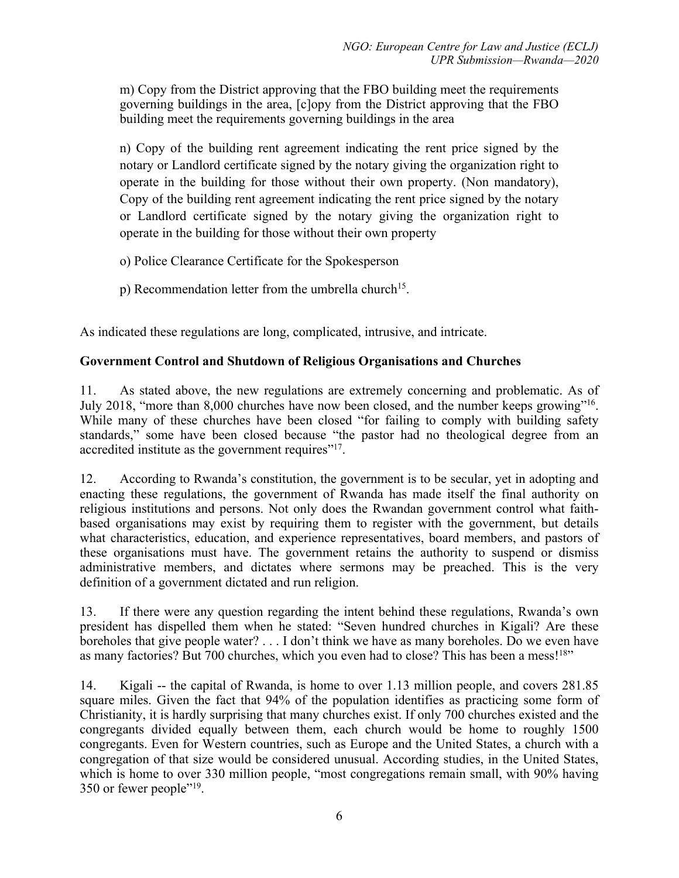m) Copy from the District approving that the FBO building meet the requirements governing buildings in the area, [c]opy from the District approving that the FBO building meet the requirements governing buildings in the area

n) Copy of the building rent agreemen<sup>t</sup> indicating the rent price signed by the notary or Landlord certificate signed by the notary giving the organization right to operate in the building for those without their own property. (Non mandatory), Copy of the building rent agreemen<sup>t</sup> indicating the rent price signed by the notary or Landlord certificate signed by the notary giving the organization right to operate in the building for those without their own property

- o) Police Clearance Certificate for the Spokesperson
- p) Recommendation letter from the umbrella church<sup>15</sup>.

As indicated these regulations are long, complicated, intrusive, and intricate.

### **Government Control and Shutdown of Religious Organisations and Churches**

11. As stated above, the new regulations are extremely concerning and problematic. As of July 2018, "more than 8,000 churches have now been closed, and the number keeps growing"<sup>16</sup>. While many of these churches have been closed "for failing to comply with building safety standards," some have been closed because "the pastor had no theological degree from an accredited institute as the government requires"<sup>17</sup>.

12. According to Rwanda'<sup>s</sup> constitution, the governmen<sup>t</sup> is to be secular, ye<sup>t</sup> in adopting and enacting these regulations, the governmen<sup>t</sup> of Rwanda has made itself the final authority on religious institutions and persons. Not only does the Rwandan governmen<sup>t</sup> control what faithbased organisations may exist by requiring them to register with the government, but details what characteristics, education, and experience representatives, board members, and pastors of these organisations must have. The governmen<sup>t</sup> retains the authority to suspend or dismiss administrative members, and dictates where sermons may be preached. This is the very definition of <sup>a</sup> governmen<sup>t</sup> dictated and run religion.

13. If there were any question regarding the intent behind these regulations, Rwanda'<sup>s</sup> own president has dispelled them when he stated: "Seven hundred churches in Kigali? Are these boreholes that give people water? . . . I don'<sup>t</sup> think we have as many boreholes. Do we even have as many factories? But 700 churches, which you even had to close? This has been a mess!<sup>18</sup>"

14. Kigali -- the capital of Rwanda, is home to over 1.13 million people, and covers 281.85 square miles. Given the fact that 94% of the population identifies as practicing some form of Christianity, it is hardly surprising that many churches exist. If only 700 churches existed and the congregants divided equally between them, each church would be home to roughly 1500 congregants. Even for Western countries, such as Europe and the United States, <sup>a</sup> church with <sup>a</sup> congregation of that size would be considered unusual. According studies, in the United States, which is home to over 330 million people, "most congregations remain small, with 90% having 350 or fewer people"<sup>19</sup>.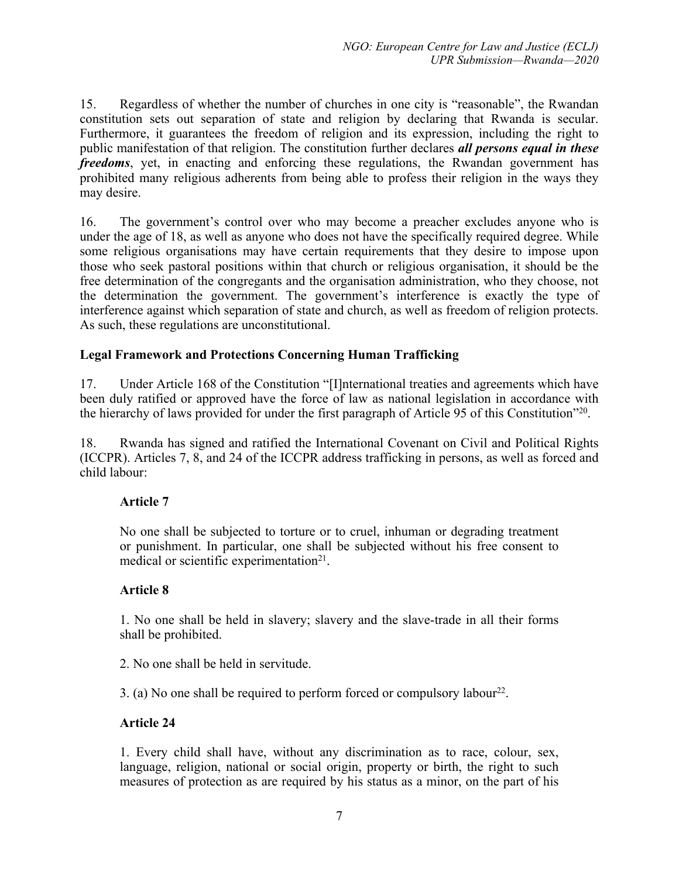15. Regardless of whether the number of churches in one city is "reasonable", the Rwandan constitution sets out separation of state and religion by declaring that Rwanda is secular. Furthermore, it guarantees the freedom of religion and its expression, including the right to public manifestation of that religion. The constitution further declares *all persons equal in these freedoms*, yet, in enacting and enforcing these regulations, the Rwandan governmen<sup>t</sup> has prohibited many religious adherents from being able to profess their religion in the ways they may desire.

16. The government'<sup>s</sup> control over who may become <sup>a</sup> preacher excludes anyone who is under the age of 18, as well as anyone who does not have the specifically required degree. While some religious organisations may have certain requirements that they desire to impose upon those who seek pastoral positions within that church or religious organisation, it should be the free determination of the congregants and the organisation administration, who they choose, not the determination the government. The government'<sup>s</sup> interference is exactly the type of interference against which separation of state and church, as well as freedom of religion protects. As such, these regulations are unconstitutional.

### **Legal Framework and Protections Concerning Human Trafficking**

17. Under Article 168 of the Constitution "[I]nternational treaties and agreements which have been duly ratified or approved have the force of law as national legislation in accordance with the hierarchy of laws provided for under the first paragraph of Article 95 of this Constitution"<sup>20</sup>.

18. Rwanda has signed and ratified the International Covenant on Civil and Political Rights (ICCPR). Articles 7, 8, and 24 of the ICCPR address trafficking in persons, as well as forced and child labour:

## **Article 7**

No one shall be subjected to torture or to cruel, inhuman or degrading treatment or punishment. In particular, one shall be subjected without his free consent to medical or scientific experimentation<sup>21</sup>.

#### **Article 8**

1. No one shall be held in slavery; slavery and the slave-trade in all their forms shall be prohibited.

2. No one shall be held in servitude.

3. (a) No one shall be required to perform forced or compulsory labour<sup>22</sup>.

## **Article 24**

1. Every child shall have, without any discrimination as to race, colour, sex, language, religion, national or social origin, property or birth, the right to such measures of protection as are required by his status as <sup>a</sup> minor, on the par<sup>t</sup> of his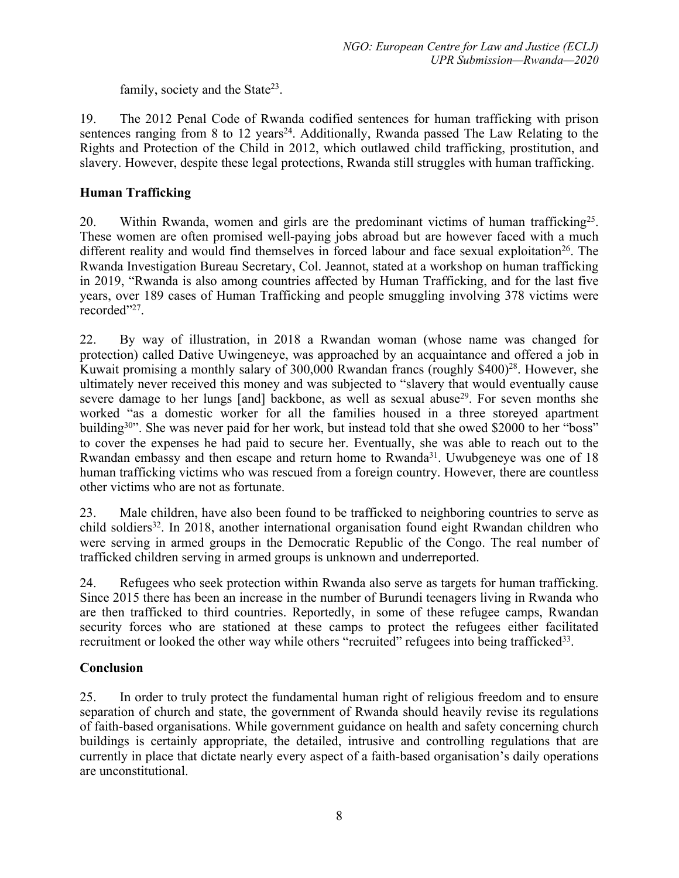family, society and the State<sup>23</sup>.

19. The 2012 Penal Code of Rwanda codified sentences for human trafficking with prison sentences ranging from 8 to 12 years<sup>24</sup>. Additionally, Rwanda passed The Law Relating to the Rights and Protection of the Child in 2012, which outlawed child trafficking, prostitution, and slavery. However, despite these legal protections, Rwanda still struggles with human trafficking.

# **Human Trafficking**

20. Within Rwanda, women and girls are the predominant victims of human trafficking<sup>25</sup>. These women are often promised well-paying jobs abroad but are however faced with <sup>a</sup> much different reality and would find themselves in forced labour and face sexual exploitation<sup>26</sup>. The Rwanda Investigation Bureau Secretary, Col. Jeannot, stated at <sup>a</sup> workshop on human trafficking in 2019, "Rwanda is also among countries affected by Human Trafficking, and for the last five years, over 189 cases of Human Trafficking and people smuggling involving 378 victims were recorded"<sup>27</sup>.

22. By way of illustration, in 2018 <sup>a</sup> Rwandan woman (whose name was changed for protection) called Dative Uwingeneye, was approached by an acquaintance and offered <sup>a</sup> job in Kuwait promising a monthly salary of 300,000 Rwandan francs (roughly \$400)<sup>28</sup>. However, she ultimately never received this money and was subjected to "slavery that would eventually cause severe damage to her lungs [and] backbone, as well as sexual abuse<sup>29</sup>. For seven months she worked "as <sup>a</sup> domestic worker for all the families housed in <sup>a</sup> three storeyed apartment building<sup>30</sup>". She was never paid for her work, but instead told that she owed \$2000 to her "boss" to cover the expenses he had paid to secure her. Eventually, she was able to reach out to the Rwandan embassy and then escape and return home to Rwanda<sup>31</sup>. Uwubgeneye was one of 18 human trafficking victims who was rescued from <sup>a</sup> foreign country. However, there are countless other victims who are not as fortunate.

23. Male children, have also been found to be trafficked to neighboring countries to serve as child soldiers<sup>32</sup>. In 2018, another international organisation found eight Rwandan children who were serving in armed groups in the Democratic Republic of the Congo. The real number of trafficked children serving in armed groups is unknown and underreported.

24. Refugees who seek protection within Rwanda also serve as targets for human trafficking. Since 2015 there has been an increase in the number of Burundi teenagers living in Rwanda who are then trafficked to third countries. Reportedly, in some of these refugee camps, Rwandan security forces who are stationed at these camps to protect the refugees either facilitated recruitment or looked the other way while others "recruited" refugees into being trafficked<sup>33</sup>.

## **Conclusion**

25. In order to truly protect the fundamental human right of religious freedom and to ensure separation of church and state, the governmen<sup>t</sup> of Rwanda should heavily revise its regulations of faith-based organisations. While governmen<sup>t</sup> guidance on health and safety concerning church buildings is certainly appropriate, the detailed, intrusive and controlling regulations that are currently in place that dictate nearly every aspec<sup>t</sup> of <sup>a</sup> faith-based organisation'<sup>s</sup> daily operations are unconstitutional.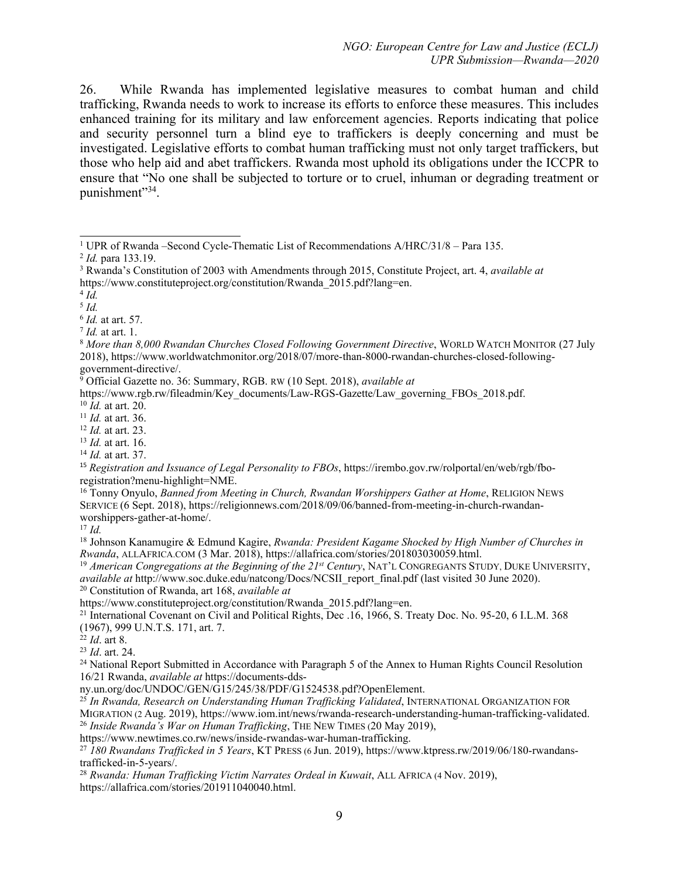26. While Rwanda has implemented legislative measures to combat human and child trafficking, Rwanda needs to work to increase its efforts to enforce these measures. This includes enhanced training for its military and law enforcement agencies. Reports indicating that police and security personnel turn <sup>a</sup> blind eye to traffickers is deeply concerning and must be investigated. Legislative efforts to combat human trafficking must not only target traffickers, but those who help aid and abet traffickers. Rwanda most uphold its obligations under the ICCPR to ensure that "No one shall be subjected to torture or to cruel, inhuman or degrading treatment or punishment"<sup>34</sup>.

17 *Id.*

18 Johnson Kanamugire & Edmund Kagire, *Rwanda: President Kagame Shocked by High Number of Churches in Rwanda*, ALLAFRICA.COM (3 Mar. 2018), https://allafrica.com/stories/201803030059.html.

19 *American Congregations at the Beginning of the 21st Century*, NAT'<sup>L</sup> CONGREGANTS STUDY, DUKE UNIVERSITY, *available at* http://www.soc.duke.edu/natcong/Docs/NCSII\_report\_final.pdf (last visited 30 June 2020).

<sup>20</sup> Constitution of Rwanda, art 168, *available at*

https://www.constituteproject.org/constitution/Rwanda 2015.pdf?lang=en.

21 International Covenant on Civil and Political Rights, Dec .16, 1966, S. Treaty Doc. No. 95-20, 6 I.L.M. 368 (1967), 999 U.N.T.S. 171, art. 7. 22 *Id*. art 8.

<sup>24</sup> National Report Submitted in Accordance with Paragraph 5 of the Annex to Human Rights Council Resolution 16/21 Rwanda, *available at* https://documents-dds-

ny.un.org/doc/UNDOC/GEN/G15/245/38/PDF/G1524538.pdf?OpenElement.

25 *In Rwanda, Research on Understanding Human Trafficking Validated*, INTERNATIONAL ORGANIZATION FOR MIGRATION (2 Aug. 2019), https://www.iom.int/news/rwanda-research-understanding-human-trafficking-validated. 26 *Inside Rwanda'<sup>s</sup> War on Human Trafficking*, THE NEW TIMES (20 May 2019),

https://www.newtimes.co.rw/news/inside-rwandas-war-human-trafficking.

27 *180 Rwandans Trafficked in 5 Years*, KT PRESS (6 Jun. 2019), https://www.ktpress.rw/2019/06/180-rwandanstrafficked-in-5-years/.

28 *Rwanda: Human Trafficking Victim Narrates Ordeal in Kuwait*, ALL AFRICA (4 Nov. 2019), https://allafrica.com/stories/201911040040.html.

<sup>&</sup>lt;sup>1</sup> UPR of Rwanda –Second Cycle-Thematic List of Recommendations  $A/HRC/31/8$  – Para 135.

<sup>2</sup> *Id.* para 133.19.

<sup>3</sup> Rwanda'<sup>s</sup> Constitution of 2003 with Amendments through 2015, Constitute Project, art. 4, *available at* https://www.constituteproject.org/constitution/Rwanda 2015.pdf?lang=en.

<sup>4</sup> *Id.*

<sup>5</sup> *Id.*

<sup>6</sup> *Id.* at art. 57.

<sup>7</sup> *Id.* at art. 1.

<sup>8</sup> *More than 8,000 Rwandan Churches Closed Following Government Directive*, <sup>W</sup>ORLD <sup>W</sup>ATCH <sup>M</sup>ONITOR (27 July 2018), https://www.worldwatchmonitor.org/2018/07/more-than-8000-rwandan-churches-closed-followinggovernment-directive/.

<sup>9</sup> Official Gazette no. 36: Summary, RGB. RW (10 Sept. 2018), *available at*

https://www.rgb.rw/fileadmin/Key\_documents/Law-RGS-Gazette/Law\_governing\_FBOs\_2018.pdf.

<sup>10</sup> *Id.* at art. 20.

<sup>11</sup> *Id.* at art. 36.

<sup>12</sup> *Id.* at art. 23.

<sup>13</sup> *Id.* at art. 16.

<sup>14</sup> *Id.* at art. 37.

<sup>15</sup> *Registration and Issuance of Legal Personality to FBOs*, https://irembo.gov.rw/rolportal/en/web/rgb/fboregistration?menu-highlight=NME.

<sup>16</sup> Tonny Onyulo, *Banned from Meeting in Church, Rwandan Worshippers Gather at Home*, RELIGION NEWS SERVICE (6 Sept. 2018), https://religionnews.com/2018/09/06/banned-from-meeting-in-church-rwandanworshippers-gather-at-home/.

<sup>23</sup> *Id*. art. 24.